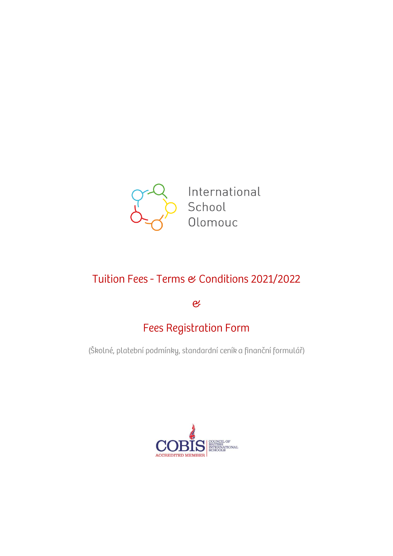

International School Olomouc

# Tuition Fees - Terms & Conditions 2021/2022

 $\overline{e}$ 

# **Fees Registration Form**

(Školné, platební podmínky, standardní ceník a finanční formulář)

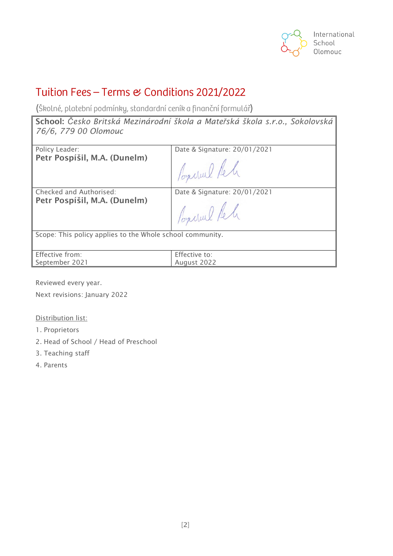

# Tuition Fees - Terms & Conditions 2021/2022

(Školné, platební podmínky, standardní ceník a finanční formulář)

**School:** *Česko Britská Mezinárodní škola a Mateřská škola s.r.o., Sokolovská 76/6, 779 00 Olomouc*

Policy Leader: **Petr Pospíšil, M.A. (Dunelm)** Date & Signature: 20/01/2021

Populal le

Checked and Authorised: **Petr Pospíšil, M.A. (Dunelm)** Date & Signature: 20/01/2021

Concred Reli

Scope: This policy applies to the Whole school community.

| Effective from: | Effective to: |
|-----------------|---------------|
| September 2021  | August 2022   |

Reviewed every year.

Next revisions: January 2022

Distribution list:

- 1. Proprietors
- 2. Head of School / Head of Preschool
- 3. Teaching staff
- 4. Parents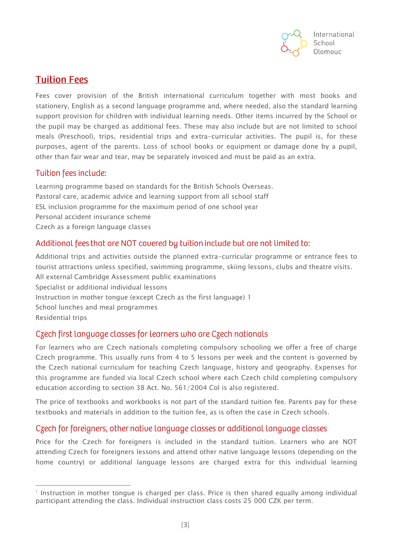

## **Tuition Fees**

Fees cover provision of the British international curriculum together with most books and stationery, English as a second language programme and, where needed, also the standard learning support provision for children with individual learning needs. Other items incurred by the School or the pupil may be charged as additional fees. These may also include but are not limited to school meals (Preschool), trips, residential trips and extra-curricular activities. The pupil is, for these purposes, agent of the parents. Loss of school books or equipment or damage done by a pupil, other than fair wear and tear, may be separately invoiced and must be paid as an extra.

#### Tuition fees include:

Learning programme based on standards for the British Schools Overseas. Pastoral care, academic advice and learning support from all school staff ESL inclusion programme for the maximum period of one school year Personal accident insurance scheme Czech as a foreign language classes

#### Additional fees that are NOT covered by tuition include but are not limited to:

Additional trips and activities outside the planned extra-curricular programme or entrance fees to tourist attractions unless specified, swimming programme, skiing lessons, clubs and theatre visits. All external Cambridge Assessment public examinations Specialist or additional individual lessons Instruction in mother tongue (except Czech as the first language) 1 School lunches and meal programmes Residential trips

#### Czech first language classes for learners who are Czech nationals

For learners who are Czech nationals completing compulsory schooling we offer a free of charge Czech programme. This usually runs from 4 to 5 lessons per week and the content is governed by the Czech national curriculum for teaching Czech language, history and geography. Expenses for this programme are funded via local Czech school where each Czech child completing compulsory education according to section 38 Act. No. 561/2004 Col is also registered.

The price of textbooks and workbooks is not part of the standard tuition fee. Parents pay for these textbooks and materials in addition to the tuition fee, as is often the case in Czech schools.

#### Czech for foreigners, other native language classes or additional language classes

Price for the Czech for foreigners is included in the standard tuition. Learners who are NOT attending Czech for foreigners lessons and attend other native language lessons (depending on the home country) or additional language lessons are charged extra for this individual learning

<sup>-</sup>1 Instruction in mother tongue is charged per class. Price is then shared equally among individual participant attending the class. Individual instruction class costs 25 000 CZK per term.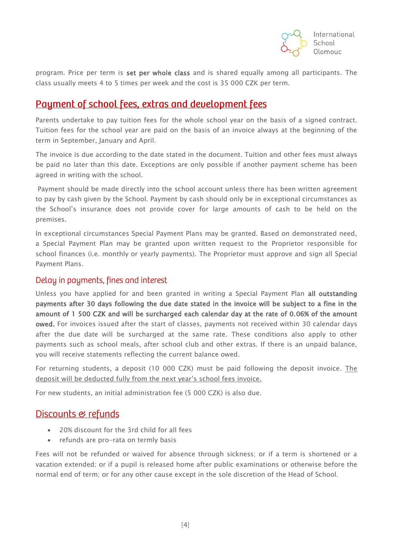

program. Price per term is set per whole class and is shared equally among all participants. The class usually meets 4 to 5 times per week and the cost is 35 000 CZK per term.

# Payment of school fees, extras and development fees

Parents undertake to pay tuition fees for the whole school year on the basis of a signed contract. Tuition fees for the school year are paid on the basis of an invoice always at the beginning of the term in September, January and April.

The invoice is due according to the date stated in the document. Tuition and other fees must always be paid no later than this date. Exceptions are only possible if another payment scheme has been agreed in writing with the school.

Payment should be made directly into the school account unless there has been written agreement to pay by cash given by the School. Payment by cash should only be in exceptional circumstances as the School's insurance does not provide cover for large amounts of cash to be held on the premises.

In exceptional circumstances Special Payment Plans may be granted. Based on demonstrated need, a Special Payment Plan may be granted upon written request to the Proprietor responsible for school finances (i.e. monthly or yearly payments). The Proprietor must approve and sign all Special Payment Plans.

#### Delay in payments, fines and interest

Unless you have applied for and been granted in writing a Special Payment Plan all outstanding payments after 30 days following the due date stated in the invoice will be subject to a fine in the amount of 1 500 CZK and will be surcharged each calendar day at the rate of 0.06% of the amount owed. For invoices issued after the start of classes, payments not received within 30 calendar days after the due date will be surcharged at the same rate. These conditions also apply to other payments such as school meals, after school club and other extras. If there is an unpaid balance, you will receive statements reflecting the current balance owed.

For returning students, a deposit (10 000 CZK) must be paid following the deposit invoice. The deposit will be deducted fully from the next year's school fees invoice.

For new students, an initial administration fee (5 000 CZK) is also due.

#### Discounts & refunds

- 20% discount for the 3rd child for all fees
- refunds are pro-rata on termly basis

Fees will not be refunded or waived for absence through sickness; or if a term is shortened or a vacation extended; or if a pupil is released home after public examinations or otherwise before the normal end of term; or for any other cause except in the sole discretion of the Head of School.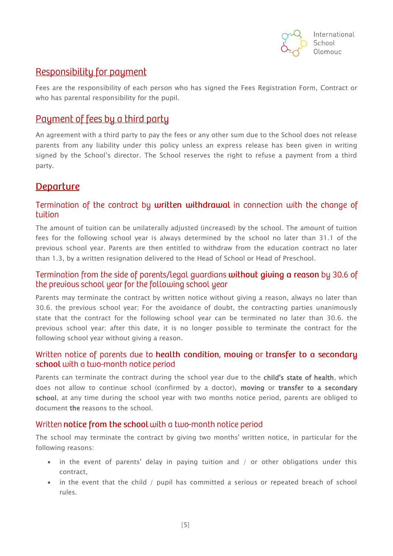

# Responsibility for payment

Fees are the responsibility of each person who has signed the Fees Registration Form, Contract or who has parental responsibility for the pupil.

# Payment of fees by a third party

An agreement with a third party to pay the fees or any other sum due to the School does not release parents from any liability under this policy unless an express release has been given in writing signed by the School's director. The School reserves the right to refuse a payment from a third party.

# **Departure**

#### Termination of the contract by written withdrawal in connection with the change of tuition

The amount of tuition can be unilaterally adjusted (increased) by the school. The amount of tuition fees for the following school year is always determined by the school no later than 31.1 of the previous school year. Parents are then entitled to withdraw from the education contract no later than 1.3, by a written resignation delivered to the Head of School or Head of Preschool.

#### Termination from the side of parents/legal guardians without giving a reason by 30.6 of the previous school year for the following school year

Parents may terminate the contract by written notice without giving a reason, always no later than 30.6. the previous school year; For the avoidance of doubt, the contracting parties unanimously state that the contract for the following school year can be terminated no later than 30.6. the previous school year; after this date, it is no longer possible to terminate the contract for the following school year without giving a reason.

#### Written notice of parents due to health condition, moving or transfer to a secondary school with a two-month notice period

Parents can terminate the contract during the school year due to the child's state of health, which does not allow to continue school (confirmed by a doctor), moving or transfer to a secondary school, at any time during the school year with two months notice period, parents are obliged to document the reasons to the school.

#### Written notice from the school with a two-month notice period

The school may terminate the contract by giving two months' written notice, in particular for the following reasons:

- in the event of parents' delay in paying tuition and / or other obligations under this contract,
- in the event that the child / pupil has committed a serious or repeated breach of school rules.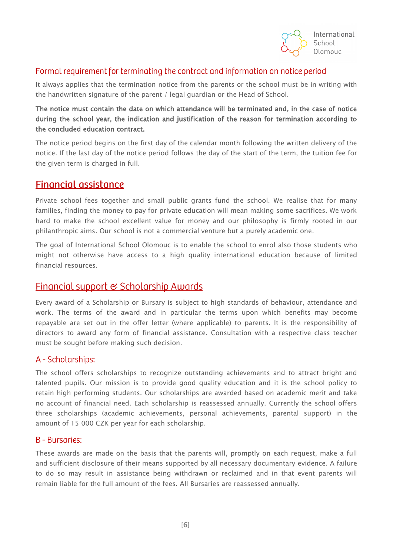

#### Formal requirement for terminating the contract and information on notice period

It always applies that the termination notice from the parents or the school must be in writing with the handwritten signature of the parent / legal guardian or the Head of School.

#### The notice must contain the date on which attendance will be terminated and, in the case of notice during the school year, the indication and justification of the reason for termination according to the concluded education contract.

The notice period begins on the first day of the calendar month following the written delivery of the notice. If the last day of the notice period follows the day of the start of the term, the tuition fee for the given term is charged in full.

## **Financial assistance**

Private school fees together and small public grants fund the school. We realise that for many families, finding the money to pay for private education will mean making some sacrifices. We work hard to make the school excellent value for money and our philosophy is firmly rooted in our philanthropic aims. Our school is not a commercial venture but a purely academic one.

The goal of International School Olomouc is to enable the school to enrol also those students who might not otherwise have access to a high quality international education because of limited financial resources.

## Financial support & Scholarship Awards

Every award of a Scholarship or Bursary is subject to high standards of behaviour, attendance and work. The terms of the award and in particular the terms upon which benefits may become repayable are set out in the offer letter (where applicable) to parents. It is the responsibility of directors to award any form of financial assistance. Consultation with a respective class teacher must be sought before making such decision.

#### A - Scholarships:

The school offers scholarships to recognize outstanding achievements and to attract bright and talented pupils. Our mission is to provide good quality education and it is the school policy to retain high performing students. Our scholarships are awarded based on academic merit and take no account of financial need. Each scholarship is reassessed annually. Currently the school offers three scholarships (academic achievements, personal achievements, parental support) in the amount of 15 000 CZK per year for each scholarship.

#### **B** - Bursaries:

These awards are made on the basis that the parents will, promptly on each request, make a full and sufficient disclosure of their means supported by all necessary documentary evidence. A failure to do so may result in assistance being withdrawn or reclaimed and in that event parents will remain liable for the full amount of the fees. All Bursaries are reassessed annually.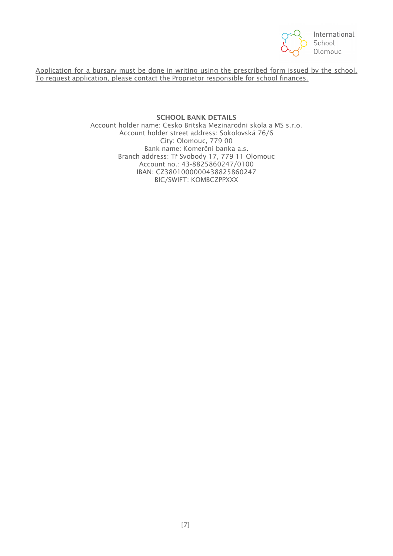

Application for a bursary must be done in writing using the prescribed form issued by the school. To request application, please contact the Proprietor responsible for school finances.

> **SCHOOL BANK DETAILS** Account holder name: Cesko Britska Mezinarodni skola a MS s.r.o. Account holder street address: Sokolovská 76/6 City: Olomouc, 779 00 Bank name: Komerční banka a.s. Branch address: Tř Svobody 17, 779 11 Olomouc Account no.: 43-8825860247/0100 IBAN: CZ3801000000438825860247 BIC/SWIFT: KOMBCZPPXXX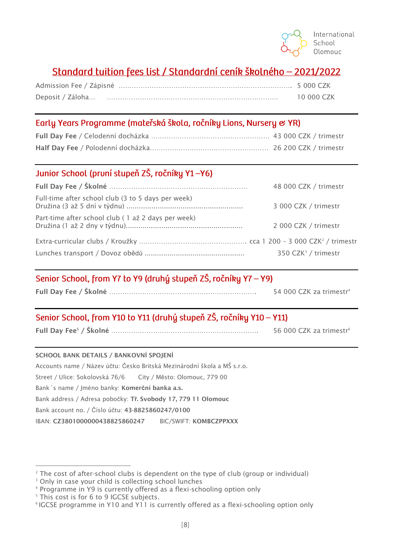# Standard tuition fees list / Standardní ceník školného - 2021/2022

| Deposit / Záloha | 10 000 CZK |
|------------------|------------|

## Early Years Programme (mateřská škola, ročníky Lions, Nursery & YR)

## Junior School (pruní stupeň ZŠ, ročníky Y1-Y6)

|                                                    | 48 000 CZK / trimestr           |
|----------------------------------------------------|---------------------------------|
| Full-time after school club (3 to 5 days per week) | 3 000 CZK / trimestr            |
| Part-time after school club (1 až 2 days per week) | 2 000 CZK / trimestr            |
|                                                    |                                 |
|                                                    | 350 CZK <sup>3</sup> / trimestr |

# Senior School, from Y7 to Y9 (druhý stupeň ZŠ, ročníky Y7 – Y9)

|  | 54 000 CZK za trimestr <sup>4</sup> |
|--|-------------------------------------|
|--|-------------------------------------|

# Senior School, from Y10 to Y11 (druhý stupeň ZŠ, ročníky Y10 - Y11)

|  | 56 000 CZK za trimestr <sup>6</sup> |
|--|-------------------------------------|
|--|-------------------------------------|

#### **SCHOOL BANK DETAILS / BANKOVNÍ SPOJENÍ**

Accounts name / Název účtu: Česko Britská Mezinárodní škola a MŠ s.r.o.

Street / Ulice: Sokolovská 76/6 City / Město: Olomouc, 779 00

Bank´s name / Jméno banky: **Komerční banka a.s.**

Bank address / Adresa pobočky: **Tř. Svobody 17, 779 11 Olomouc**

Bank account no. / Číslo účtu: **43-8825860247/0100**

IBAN: **CZ3801000000438825860247** BIC/SWIFT: **KOMBCZPPXXX**

<sup>-</sup> $2^2$  The cost of after-school clubs is dependent on the type of club (group or individual)

<sup>&</sup>lt;sup>3</sup> Only in case your child is collecting school lunches

<sup>4</sup> Programme in Y9 is currently offered as a flexi-schooling option only

<sup>&</sup>lt;sup>5</sup> This cost is for 6 to 9 IGCSE subjects.

<sup>6</sup> IGCSE programme in Y10 and Y11 is currently offered as a flexi-schooling option only